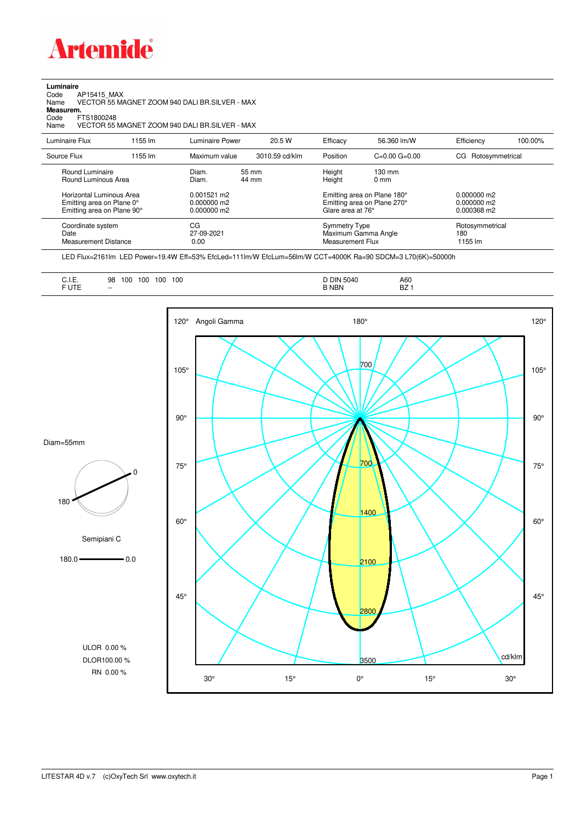

## **Luminaire**

Code AP15415\_MAX Name VECTOR 55 MAGNET ZOOM 940 DALI BR.SILVER - MAX Code A<br>Name V<br>**Measurem.** 

Code FTS1800248<br>Name VECTOR 55 Name VECTOR 55 MAGNET ZOOM 940 DALI BR.SILVER - MAX

| Luminaire Flux                                                                      | 1155 lm | Luminaire Power                                 | 20.5 W         | Efficacy         | 56.360 lm/W                                                                     | Efficiency             | 100.00%         |
|-------------------------------------------------------------------------------------|---------|-------------------------------------------------|----------------|------------------|---------------------------------------------------------------------------------|------------------------|-----------------|
| Source Flux                                                                         | 1155 lm | Maximum value                                   | 3010.59 cd/klm | Position         | $C=0.00$ $G=0.00$                                                               | Rotosymmetrical<br>CG. |                 |
| Round Luminaire<br>Round Luminous Area                                              |         | Diam.<br>Diam.                                  | 55 mm<br>44 mm | Height<br>Height | $130 \text{ mm}$<br>$0 \text{ mm}$                                              |                        |                 |
| Horizontal Luminous Area<br>Emitting area on Plane 0°<br>Emitting area on Plane 90° |         | $0.001521$ m2<br>$0.000000$ m2<br>$0.000000$ m2 |                |                  | Emitting area on Plane 180°<br>Emitting area on Plane 270°<br>Glare area at 76° |                        |                 |
| Coordinate system<br>Date<br>Measurement Distance                                   |         | CG<br>27-09-2021<br>0.00                        |                |                  | Symmetry Type<br>Maximum Gamma Angle<br>Measurement Flux                        |                        | Rotosymmetrical |

LED Flux=2161lm LED Power=19.4W Eff=53% EfcLed=111lm/W EfcLum=56lm/W CCT=4000K Ra=90 SDCM=3 L70(6K)=50000h